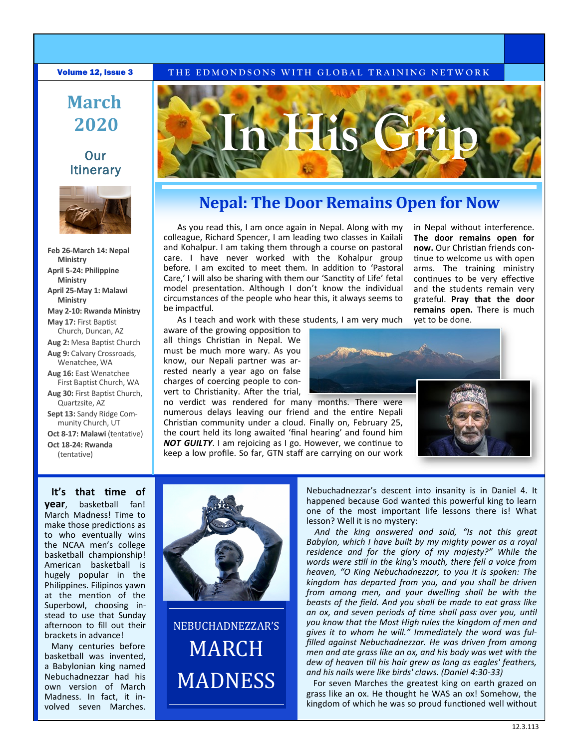#### **Volume 12, Issue 3** THE EDMONDSONS WITH GLOBAL TRAINING NETWORK

# **March 2020**

### **Our Itinerary**



**Feb 26-March 14: Nepal Ministry April 5-24: Philippine Ministry April 25-May 1: Malawi Ministry May 2-10: Rwanda Ministry May 17:** First Baptist Church, Duncan, AZ **Aug 2:** Mesa Baptist Church **Aug 9:** Calvary Crossroads, Wenatchee, WA **Aug 16:** East Wenatchee First Baptist Church, WA **Aug 30:** First Baptist Church, Quartzsite, AZ **Sept 13:** Sandy Ridge Com-

munity Church, UT **Oct 8-17: Malawi** (tentative)

**Oct 18-24: Rwanda**  (tentative)

**It's that time of** 

Many centuries before basketball was invented, a Babylonian king named Nebuchadnezzar had his own version of March Madness. In fact, it involved seven Marches.



## **Nepal: The Door Remains Open for Now**

As you read this, I am once again in Nepal. Along with my colleague, Richard Spencer, I am leading two classes in Kailali and Kohalpur. I am taking them through a course on pastoral care. I have never worked with the Kohalpur group before. I am excited to meet them. In addition to 'Pastoral Care,' I will also be sharing with them our 'Sanctity of Life' fetal model presentation. Although I don't know the individual circumstances of the people who hear this, it always seems to be impactful.

in Nepal without interference. **The door remains open for now.** Our Christian friends continue to welcome us with open arms. The training ministry continues to be very effective and the students remain very grateful. **Pray that the door remains open.** There is much yet to be done.

As I teach and work with these students, I am very much

aware of the growing opposition to all things Christian in Nepal. We must be much more wary. As you know, our Nepali partner was arrested nearly a year ago on false charges of coercing people to convert to Christianity. After the trial,

no verdict was rendered for many months. There were numerous delays leaving our friend and the entire Nepali Christian community under a cloud. Finally on, February 25, the court held its long awaited 'final hearing' and found him *NOT GUILTY*. I am rejoicing as I go. However, we continue to keep a low profile. So far, GTN staff are carrying on our work





**year**, basketball fan! March Madness! Time to make those predictions as to who eventually wins the NCAA men's college basketball championship! American basketball is hugely popular in the Philippines. Filipinos yawn at the mention of the Superbowl, choosing instead to use that Sunday afternoon to fill out their brackets in advance!



NEBUCHADNEZZAR'S **MARCH MADNESS** 

Nebuchadnezzar's descent into insanity is in Daniel 4. It happened because God wanted this powerful king to learn one of the most important life lessons there is! What lesson? Well it is no mystery:

*And the king answered and said, "Is not this great Babylon, which I have built by my mighty power as a royal residence and for the glory of my majesty?" While the words were still in the king's mouth, there fell a voice from heaven, "O King Nebuchadnezzar, to you it is spoken: The kingdom has departed from you, and you shall be driven from among men, and your dwelling shall be with the beasts of the field. And you shall be made to eat grass like an ox, and seven periods of time shall pass over you, until you know that the Most High rules the kingdom of men and gives it to whom he will." Immediately the word was fulfilled against Nebuchadnezzar. He was driven from among men and ate grass like an ox, and his body was wet with the dew of heaven till his hair grew as long as eagles' feathers, and his nails were like birds' claws. (Daniel 4:30-33)*

For seven Marches the greatest king on earth grazed on grass like an ox. He thought he WAS an ox! Somehow, the kingdom of which he was so proud functioned well without